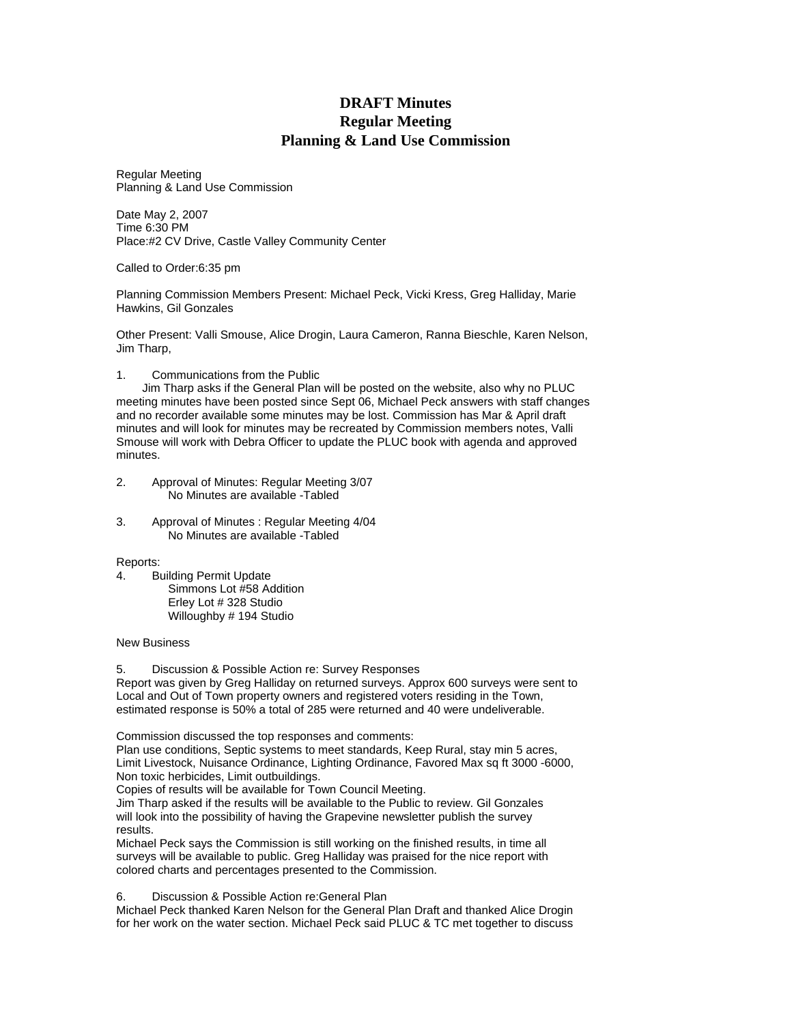# **DRAFT Minutes Regular Meeting Planning & Land Use Commission**

Regular Meeting Planning & Land Use Commission

Date May 2, 2007 Time 6:30 PM Place:#2 CV Drive, Castle Valley Community Center

Called to Order:6:35 pm

Planning Commission Members Present: Michael Peck, Vicki Kress, Greg Halliday, Marie Hawkins, Gil Gonzales

Other Present: Valli Smouse, Alice Drogin, Laura Cameron, Ranna Bieschle, Karen Nelson, Jim Tharp,

## 1. Communications from the Public

 Jim Tharp asks if the General Plan will be posted on the website, also why no PLUC meeting minutes have been posted since Sept 06, Michael Peck answers with staff changes and no recorder available some minutes may be lost. Commission has Mar & April draft minutes and will look for minutes may be recreated by Commission members notes, Valli Smouse will work with Debra Officer to update the PLUC book with agenda and approved minutes.

- 2. Approval of Minutes: Regular Meeting 3/07 No Minutes are available -Tabled
- 3. Approval of Minutes : Regular Meeting 4/04 No Minutes are available -Tabled

### Reports:

- 4. Building Permit Update
	- Simmons Lot #58 Addition Erley Lot # 328 Studio Willoughby # 194 Studio

### New Business

5. Discussion & Possible Action re: Survey Responses

Report was given by Greg Halliday on returned surveys. Approx 600 surveys were sent to Local and Out of Town property owners and registered voters residing in the Town, estimated response is 50% a total of 285 were returned and 40 were undeliverable.

Commission discussed the top responses and comments:

Plan use conditions, Septic systems to meet standards, Keep Rural, stay min 5 acres, Limit Livestock, Nuisance Ordinance, Lighting Ordinance, Favored Max sq ft 3000 -6000, Non toxic herbicides, Limit outbuildings.

Copies of results will be available for Town Council Meeting.

Jim Tharp asked if the results will be available to the Public to review. Gil Gonzales will look into the possibility of having the Grapevine newsletter publish the survey results.

Michael Peck says the Commission is still working on the finished results, in time all surveys will be available to public. Greg Halliday was praised for the nice report with colored charts and percentages presented to the Commission.

### 6. Discussion & Possible Action re:General Plan

Michael Peck thanked Karen Nelson for the General Plan Draft and thanked Alice Drogin for her work on the water section. Michael Peck said PLUC & TC met together to discuss